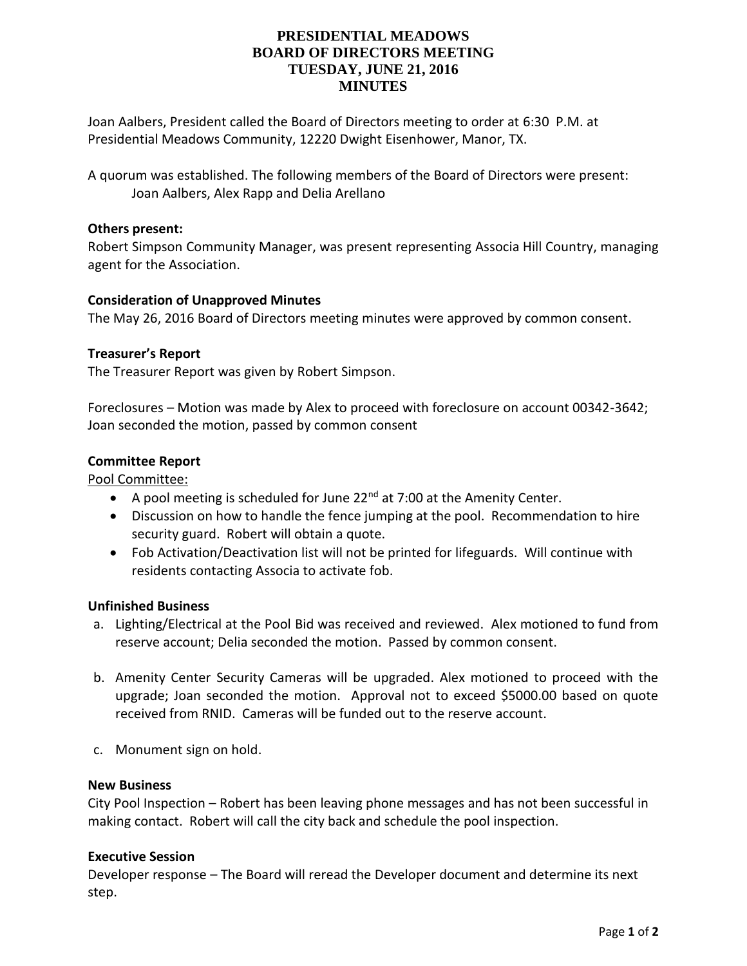# **PRESIDENTIAL MEADOWS BOARD OF DIRECTORS MEETING TUESDAY, JUNE 21, 2016 MINUTES**

Joan Aalbers, President called the Board of Directors meeting to order at 6:30 P.M. at Presidential Meadows Community, 12220 Dwight Eisenhower, Manor, TX.

A quorum was established. The following members of the Board of Directors were present: Joan Aalbers, Alex Rapp and Delia Arellano

## **Others present:**

Robert Simpson Community Manager, was present representing Associa Hill Country, managing agent for the Association.

## **Consideration of Unapproved Minutes**

The May 26, 2016 Board of Directors meeting minutes were approved by common consent.

## **Treasurer's Report**

The Treasurer Report was given by Robert Simpson.

Foreclosures – Motion was made by Alex to proceed with foreclosure on account 00342-3642; Joan seconded the motion, passed by common consent

## **Committee Report**

### Pool Committee:

- A pool meeting is scheduled for June  $22<sup>nd</sup>$  at 7:00 at the Amenity Center.
- Discussion on how to handle the fence jumping at the pool. Recommendation to hire security guard. Robert will obtain a quote.
- Fob Activation/Deactivation list will not be printed for lifeguards. Will continue with residents contacting Associa to activate fob.

#### **Unfinished Business**

- a. Lighting/Electrical at the Pool Bid was received and reviewed. Alex motioned to fund from reserve account; Delia seconded the motion. Passed by common consent.
- b. Amenity Center Security Cameras will be upgraded. Alex motioned to proceed with the upgrade; Joan seconded the motion. Approval not to exceed \$5000.00 based on quote received from RNID. Cameras will be funded out to the reserve account.
- c. Monument sign on hold.

### **New Business**

City Pool Inspection – Robert has been leaving phone messages and has not been successful in making contact. Robert will call the city back and schedule the pool inspection.

#### **Executive Session**

Developer response – The Board will reread the Developer document and determine its next step.